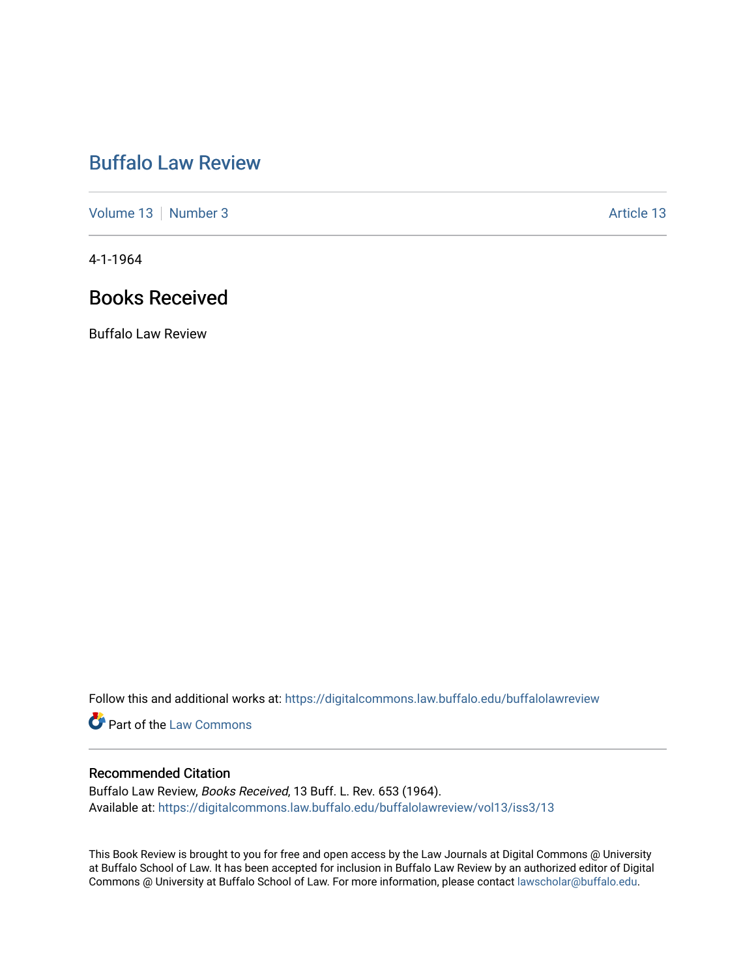## [Buffalo Law Review](https://digitalcommons.law.buffalo.edu/buffalolawreview)

[Volume 13](https://digitalcommons.law.buffalo.edu/buffalolawreview/vol13) [Number 3](https://digitalcommons.law.buffalo.edu/buffalolawreview/vol13/iss3) Article 13

4-1-1964

## Books Received

Buffalo Law Review

Follow this and additional works at: [https://digitalcommons.law.buffalo.edu/buffalolawreview](https://digitalcommons.law.buffalo.edu/buffalolawreview?utm_source=digitalcommons.law.buffalo.edu%2Fbuffalolawreview%2Fvol13%2Fiss3%2F13&utm_medium=PDF&utm_campaign=PDFCoverPages) 

**Part of the [Law Commons](http://network.bepress.com/hgg/discipline/578?utm_source=digitalcommons.law.buffalo.edu%2Fbuffalolawreview%2Fvol13%2Fiss3%2F13&utm_medium=PDF&utm_campaign=PDFCoverPages)** 

## Recommended Citation

Buffalo Law Review, Books Received, 13 Buff. L. Rev. 653 (1964). Available at: [https://digitalcommons.law.buffalo.edu/buffalolawreview/vol13/iss3/13](https://digitalcommons.law.buffalo.edu/buffalolawreview/vol13/iss3/13?utm_source=digitalcommons.law.buffalo.edu%2Fbuffalolawreview%2Fvol13%2Fiss3%2F13&utm_medium=PDF&utm_campaign=PDFCoverPages)

This Book Review is brought to you for free and open access by the Law Journals at Digital Commons @ University at Buffalo School of Law. It has been accepted for inclusion in Buffalo Law Review by an authorized editor of Digital Commons @ University at Buffalo School of Law. For more information, please contact [lawscholar@buffalo.edu](mailto:lawscholar@buffalo.edu).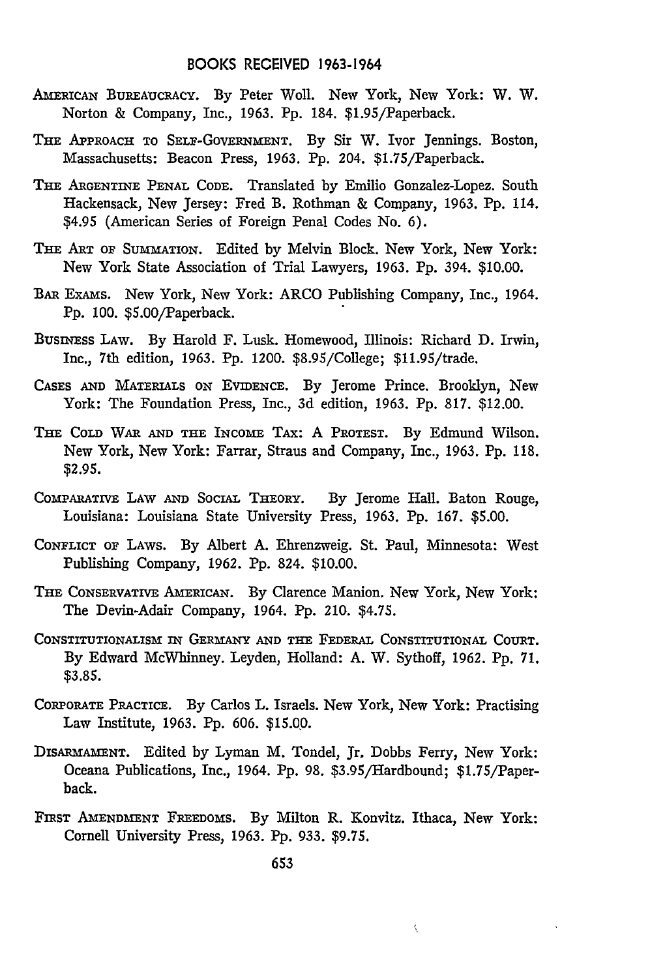- AMERICAN BUREAUCRACY. By Peter Woll. New York, New York: W. W. Norton & Company, Inc., 1963. Pp. 184. \$1.95/Paperback.
- THE APPROACH TO SELF-GOVERNMENT. By Sir W. Ivor Jennings. Boston, Massachusetts: Beacon Press, 1963. Pp. 204. \$1.75/Paperback.
- THE ARGENTINE PENAL CODE. Translated by Emilio Gonzalez-Lopez. South Hackensack, New Jersey: Fred B. Rothman & Company, 1963. Pp. 114. \$4.95 (American Series of Foreign Penal Codes No. **6).**
- THE ART OF SUMMATION. Edited by Melvin Block. New York, New York: New York State Association of Trial Lawyers, **1963. Pp.** 394. **\$10.00.**
- BAR ExAms. New York, New York: ARCO Publishing Company, Inc., 1964. Pp. 100. \$5.00/Paperback.
- Busnss LAW. By Harold F. Lusk. Homewood, Illinois: Richard D. Irwin, Inc., 7th edition, 1963. **Pp.** 1200. \$8.95/College; \$11.95/trade.
- CASES **AND** MATERIALS ON EVIDENCE. By Jerome Prince. Brooklyn, New York: The Foundation Press, Inc., 3d edition, 1963. **Pp.** 817. \$12.00.
- THE COLD WAR **AND THE** INCOME TAx: A PROTEST. By Edmund Wilson. New York, New York: Farrar, Straus and Company, Inc., 1963. Pp. **118.** \$2.95.
- COMPARATIVE LAW **AND** SOCIAL THEORY. By Jerome Hall. Baton Rouge, Louisiana: Louisiana State University Press, 1963. Pp. 167. *\$5.00.*
- CONFLICT OF LAWS. By Albert A. Ehrenzweig. St. Paul, Minnesota: West Publishing Company, 1962. Pp. 824. \$10.00.
- THE CONSERVATIVE AMERICAN. By Clarence Manion. New York, New York: The Devin-Adair Company, 1964. Pp. 210. \$4.75.
- CONSTITUTIONALISM IN GERMANY **AND THE FEDERAL CONSTITUTIONAL COURT. By** Edward McWhinney. Leyden, Holland: **A.** W. Sythoff, **1962. Pp. 71. \$3.85.**
- CORPORATE PRACTICE. By Carlos L. Israels. New York, New York: Practising Law Institute, 1963. Pp. 606. **\$15.00.**
- DISARMAMENT. Edited by Lyman M. Tondel, Jr, Dobbs Ferry, New York: Oceana Publications, Inc., 1964. **Pp. 98.** \$3.95/Hardbound; \$1.75/Paperback.
- FIRST AMENDMENT FREEDOMS. By Milton R. Konvitz. Ithaca, New York: Cornell University Press, **1963.** Pp. 933. **\$9.75.**

Ň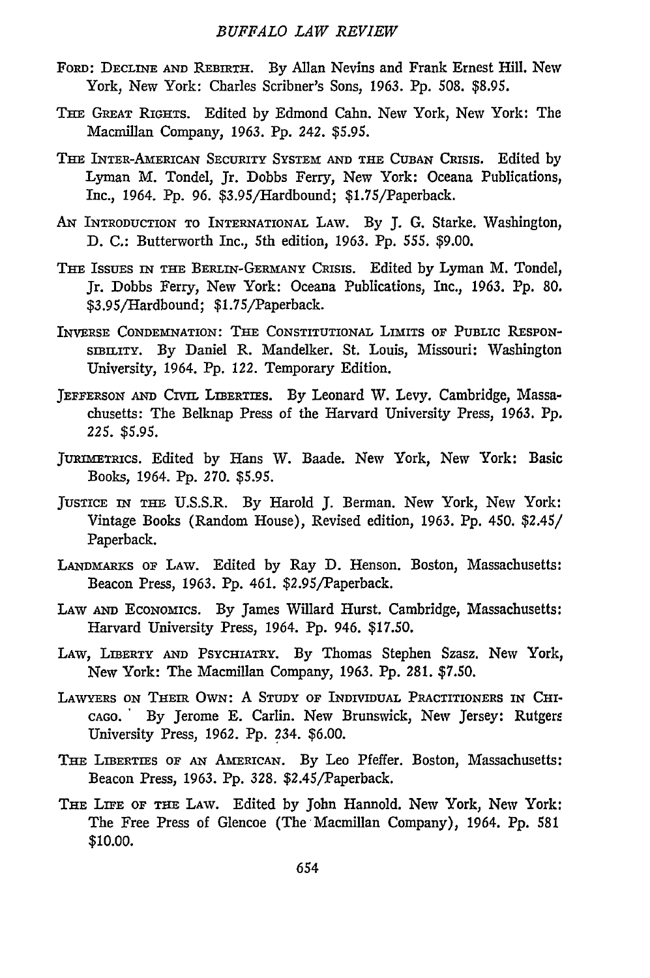- FoRD: **DECLINE** AND REBIRTH. By Allan Nevins and Frank Ernest Hill. New York, New York: Charles Scribner's Sons, 1963. Pp. 508. \$8.95.
- THE GREAT RIGHTS. Edited by Edmond Cahn. New York, New York: The Macmillan Company, 1963. Pp. *242.* \$5.95.
- THE INTER-AmERICAN SECURITY SYSTEM **AND THE CUBAN CRISIS.** Edited **by** Lyman M. Tondel, Jr. Dobbs Ferry, New York: Oceana Publications, Inc., 1964. Pp. 96. \$3.95/Hardbound; \$1.75/Paperback.
- AN INTRODUCTION TO INTERNATIONAL LAW. By J. **G.** Starke. Washington, D. C.: Butterworth Inc., 5th edition, 1963. Pp. *555.* \$9.00.
- THE IssuEs **IN** THE BERLiN-GERmANY CRISIS. Edited by Lyman M. Tondel, Jr. Dobbs Ferry, New York: Oceana Publications, Inc., 1963. Pp. 80. \$3.95/Hardbound; \$1.75/Paperback.
- INVERSE CONDEMNATION: **THE** CONSTITUTIONAL LIMITS **OF** PUBLIC RESPONsIBILITy. By Daniel R. Mandelker. St. Louis, Missouri: Washington University, 1964. Pp. 122. Temporary Edition.
- JEFFERSON AND CIVIL LIBERTIES. By Leonard W. Levy. Cambridge, Massachusetts: The Belknap Press of the Harvard University Press, 1963. Pp. 225. *\$5.95.*
- JURrmETRiCS. Edited by Hans W. Baade. New York, New York: Basic Books, 1964. Pp. **270.** \$5.95.
- JUSTICE IN THE U.S.S.R. By Harold J. Berman. New York, New York: Vintage Books (Random House), Revised edition, 1963. Pp. 450. \$2.45/ Paperback.
- LANDMARKS OF LAW. Edited by Ray D. Henson. Boston, Massachusetts: Beacon Press, 1963. Pp. 461. \$2.95/Paperback.
- LAW **AND** ECONOMICS. By James Willard Hurst. Cambridge, Massachusetts: Harvard University Press, 1964. Pp. 946. \$17.50.
- LAW, LIBERTY AND PSYCHIATRY. By Thomas Stephen Szasz. New York, New York: The Macmillan Company, 1963. Pp. 281. \$7.50.
- LAWYERS **ON** THEIR OWN: A STUDY OF INDIVIDUAL PRACTITIONERS **IN CHI-**CAGO. By Jerome E. Carlin. New Brunswick, New Jersey: Rutgers University Press, 1962. Pp. 234. \$6.00.
- THE LIBERTIES OF AN AMERICAN. By Leo Pfeffer. Boston, Massachusetts: Beacon Press, 1963. Pp. 328. \$2.45/Paperback.
- THE LIFE OF THE LAW. Edited by John Hannold. New York, New York: The Free Press of Glencoe (The Macmillan Company), 1964. Pp. 581 **\$10.00.**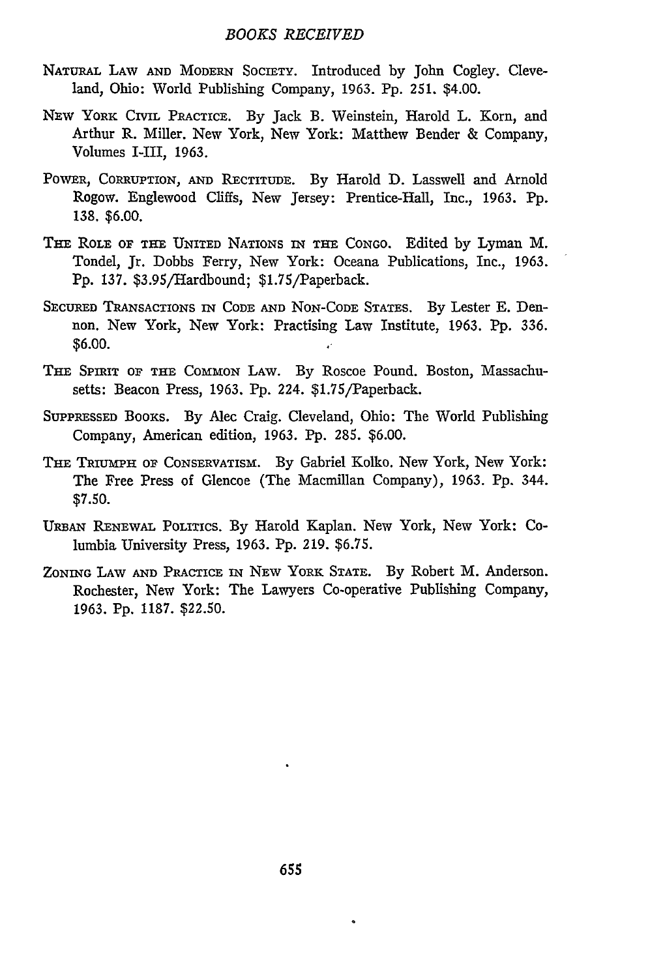## *BOOKS RECEIVED*

- NATURAL LAW **AND** MODERN SOCIETY. Introduced by John Cogley. Cleveland, Ohio: World Publishing Company, 1963. Pp. 251. \$4.00.
- NEw YORK CIVIL PRACTICE. By Jack B. Weinstein, Harold L. Korn, and Arthur R. Miller. New York, New York: Matthew Bender & Company, Volumes I-III, 1963.
- POWER, CORRUPTION, AND RECTITUDE. By Harold D. Lasswell and Arnold Rogow. Englewood Cliffs, New Jersey: Prentice-Hall, Inc., 1963. Pp. **138. \$6.00.**
- THE ROLE **OF THE UNITED** NATIONS IN THE CONGO. Edited by Lyman M. Tondel, Jr. Dobbs Ferry, New York: Oceana Publications, Inc., 1963. Pp. 137. \$3.95/Hardbound; \$1.75/Paperback.
- SECURED TRANSACTIONS IN **CODE AND** NON-CODE STATES. By Lester **E.** Dennon. New York, New York: Practising Law Institute, 1963. Pp. 336. \$6.00.
- THE SPIRIT OF THE COMMON LAW. By Roscoe Pound. Boston, Massachusetts: Beacon Press, 1963. Pp. 224. \$1.75/Paperback.
- SUPPRESSED BooKs. By Alec Craig. Cleveland, Ohio: The World Publishing Company, American edition, 1963. **Pp.** 285. \$6.00.
- THE TRIUMPH **OF** CONSERVATISM. By Gabriel Kolko. New York, New York: The Free Press of Glencoe (The Macmillan Company), 1963. Pp. 344. **\$7.50.**
- **URBAN** RENEWAL POLITICS. By Harold Kaplan. New York, New York: Columbia University Press, 1963. Pp. 219. \$6.75.
- ZONING LAw **AND** PRACTICE IN NEW YORK **STATE.** By Robert M. Anderson. Rochester, New York: The Lawyers Co-operative Publishing Company, 1963. Pp. 1187. \$22.50.